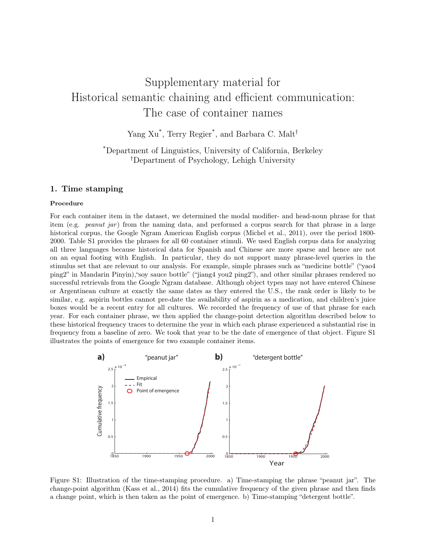# Supplementary material for Historical semantic chaining and efficient communication: The case of container names

Yang Xu<sup>\*</sup>, Terry Regier<sup>\*</sup>, and Barbara C. Malt<sup>†</sup>

## \*Department of Linguistics, University of California, Berkeley †Department of Psychology, Lehigh University

### 1. Time stamping

#### Procedure

For each container item in the dataset, we determined the modal modifier- and head-noun phrase for that item (e.g. *peanut jar*) from the naming data, and performed a corpus search for that phrase in a large historical corpus, the Google Ngram American English corpus (Michel et al., 2011), over the period 1800- 2000. Table S1 provides the phrases for all 60 container stimuli. We used English corpus data for analyzing all three languages because historical data for Spanish and Chinese are more sparse and hence are not on an equal footing with English. In particular, they do not support many phrase-level queries in the stimulus set that are relevant to our analysis. For example, simple phrases such as "medicine bottle" ("yao4 ping2" in Mandarin Pinyin),"soy sauce bottle" ("jiang4 you2 ping2"), and other similar phrases rendered no successful retrievals from the Google Ngram database. Although object types may not have entered Chinese or Argentinean culture at exactly the same dates as they entered the U.S., the rank order is likely to be similar, e.g. aspirin bottles cannot pre-date the availability of aspirin as a medication, and children's juice boxes would be a recent entry for all cultures. We recorded the frequency of use of that phrase for each year. For each container phrase, we then applied the change-point detection algorithm described below to these historical frequency traces to determine the year in which each phrase experienced a substantial rise in frequency from a baseline of zero. We took that year to be the date of emergence of that object. Figure S1 illustrates the points of emergence for two example container items.



Figure S1: Illustration of the time-stamping procedure. a) Time-stamping the phrase "peanut jar". The change-point algorithm (Kass et al., 2014) fits the cumulative frequency of the given phrase and then finds a change point, which is then taken as the point of emergence. b) Time-stamping "detergent bottle".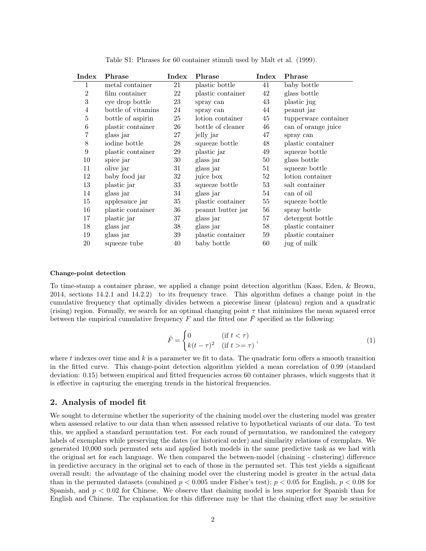| Index            | Phrase             | Index  | Phrase            | Index  | Phrase               |
|------------------|--------------------|--------|-------------------|--------|----------------------|
| 1                | metal container    | 21     | plastic bottle    | 41     | baby bottle          |
| $\overline{2}$   | film container     | 22     | plastic container | 42     | glass bottle         |
| $\boldsymbol{3}$ | eye drop bottle    | 23     | spray can         | 43     | plastic jug          |
| $\overline{4}$   | bottle of vitamins | 24     | spray can         | 44     | peanut jar           |
| $\bf 5$          | bottle of aspirin  | 25     | lotion container  | 45     | tupperware container |
| $\,6$            | plastic container  | 26     | bottle of cleaner | 46     | can of orange juice  |
| 7                | glass jar          | 27     | jelly jar         | 47     | spray can            |
| 8                | iodine bottle      | 28     | squeeze bottle    | 48     | plastic container    |
| 9                | plastic container  | 29     | plastic jar       | 49     | squeeze bottle       |
| 10               | spice jar          | 30     | glass jar         | 50     | glass bottle         |
| 11               | olive jar          | 31     | glass jar         | 51     | squeeze bottle       |
| 12               | baby food jar      | 32     | juice box         | 52     | lotion container     |
| 13               | plastic jar        | 33     | squeeze bottle    | 53     | salt container       |
| 14               | glass jar          | 34     | glass jar         | 54     | can of oil           |
| 15               | applesauce jar     | $35\,$ | plastic container | $55\,$ | squeeze bottle       |
| 16               | plastic container  | $36\,$ | peanut butter jar | 56     | spray bottle         |
| 17               | plastic jar        | 37     | glass jar         | 57     | detergent bottle     |
| 18               | glass jar          | 38     | glass jar         | 58     | plastic container    |
| 19               | glass jar          | 39     | plastic container | 59     | plastic container    |
| 20               | squeeze tube       | 40     | baby bottle       | 60     | jug of milk          |

Table S1: Phrases for 60 container stimuli used by Malt et al. (1999).

#### Change-point detection

To time-stamp a container phrase, we applied a change point detection algorithm (Kass, Eden, & Brown, 2014, sections 14.2.1 and 14.2.2) to its frequency trace. This algorithm defines a change point in the cumulative frequency that optimally divides between a piecewise linear (plateau) region and a quadratic (rising) region. Formally, we search for an optimal changing point  $\tau$  that minimizes the mean squared error between the empirical cumulative frequency F and the fitted one  $\hat{F}$  specified as the following:

$$
\hat{F} = \begin{cases}\n0 & \text{if } t < \tau \\
k(t - \tau)^2 & \text{if } t > = \tau\n\end{cases},\n\tag{1}
$$

where t indexes over time and k is a parameter we fit to data. The quadratic form offers a smooth transition in the fitted curve. This change-point detection algorithm yielded a mean correlation of 0.99 (standard deviation: 0.15) between empirical and fitted frequencies across 60 container phrases, which suggests that it is effective in capturing the emerging trends in the historical frequencies.

#### 2. Analysis of model fit

We sought to determine whether the superiority of the chaining model over the clustering model was greater when assessed relative to our data than when assessed relative to hypothetical variants of our data. To test this, we applied a standard permutation test. For each round of permutation, we randomized the category labels of exemplars while preserving the dates (or historical order) and similarity relations of exemplars. We generated 10,000 such permuted sets and applied both models in the same predictive task as we had with the original set for each language. We then compared the between-model (chaining - clustering) difference in predictive accuracy in the original set to each of those in the permuted set. This test yields a significant overall result: the advantage of the chaining model over the clustering model is greater in the actual data than in the permuted datasets (combined  $p < 0.005$  under Fisher's test);  $p < 0.05$  for English,  $p < 0.08$  for Spanish, and  $p < 0.02$  for Chinese. We observe that chaining model is less superior for Spanish than for English and Chinese. The explanation for this difference may be that the chaining effect may be sensitive